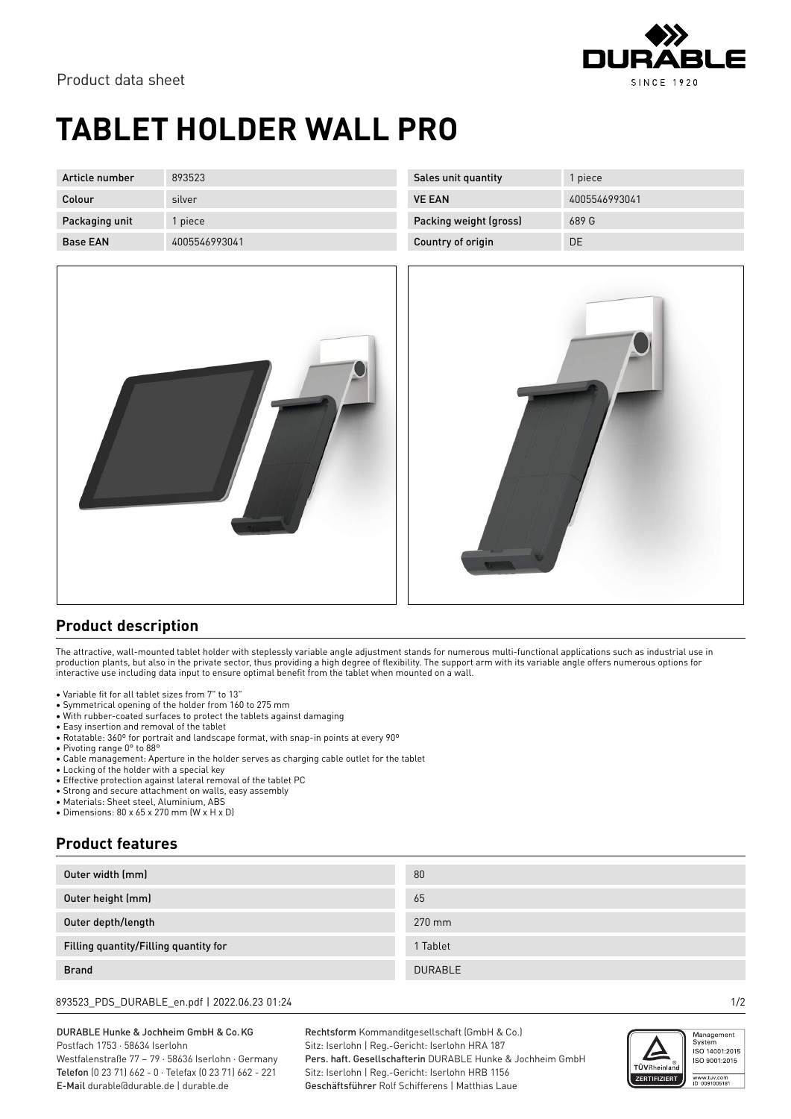

## **TABLET HOLDER WALL PRO**

| Article number  | 893523        |
|-----------------|---------------|
| Colour          | silver        |
| Packaging unit  | 1 piece       |
| <b>Base FAN</b> | 4005546993041 |

| Sales unit quantity    | 1 piece       |
|------------------------|---------------|
| <b>VE FAN</b>          | 4005546993041 |
| Packing weight (gross) | 689 G         |
| Country of origin      | DΕ            |





## **Product description**

The attractive, wall-mounted tablet holder with steplessly variable angle adjustment stands for numerous multi-functional applications such as industrial use in production plants, but also in the private sector, thus providing a high degree of flexibility. The support arm with its variable angle offers numerous options for interactive use including data input to ensure optimal benefit from the tablet when mounted on a wall.

- Variable fit for all tablet sizes from 7" to 13"
- 
- Symmetrical opening of the holder from 160 to 275 mm<br>• With rubber-coated surfaces to protect the tablets against damaging • With rubber-coated surfaces to protect the tablets against damaging
- Easy insertion and removal of the tablet
- Rotatable: 360º for portrait and landscape format, with snap-in points at every 90º
- Pivoting range 0° to 88°
- Cable management: Aperture in the holder serves as charging cable outlet for the tablet
- Locking of the holder with a special key
- Effective protection against lateral removal of the tablet PC
- Strong and secure attachment on walls, easy assembly
- Materials: Sheet steel, Aluminium, ABS
- Dimensions: 80 x 65 x 270 mm (W x H x D)

## **Product features**

| Outer width (mm)                      | 80             |
|---------------------------------------|----------------|
| Outer height (mm)                     | 65             |
| Outer depth/length                    | 270 mm         |
| Filling quantity/Filling quantity for | 1 Tablet       |
| <b>Brand</b>                          | <b>DURABLE</b> |

893523\_PDS\_DURABLE\_en.pdf | 2022.06.23 01:24 1/2

DURABLE Hunke & Jochheim GmbH & Co.KG Postfach 1753 · 58634 Iserlohn Westfalenstraße 77 – 79 · 58636 Iserlohn · Germany

Telefon (0 23 71) 662 - 0 · Telefax (0 23 71) 662 - 221 E-Mail durable@durable.de | durable.de

Rechtsform Kommanditgesellschaft (GmbH & Co.) Sitz: Iserlohn | Reg.-Gericht: Iserlohn HRA 187 Pers. haft. Gesellschafterin DURABLE Hunke & Jochheim GmbH Sitz: Iserlohn | Reg.-Gericht: Iserlohn HRB 1156 Geschäftsführer Rolf Schifferens | Matthias Laue